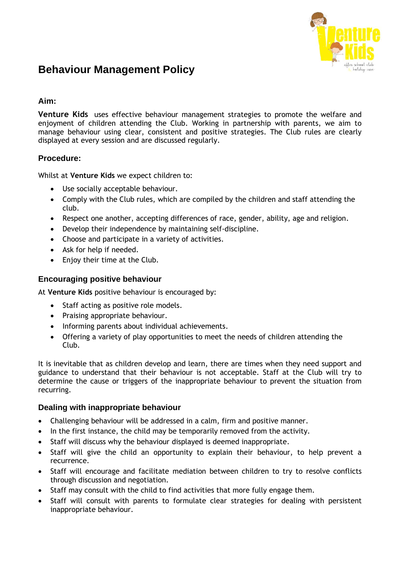

# **Behaviour Management Policy**

### **Aim:**

**Venture Kids** uses effective behaviour management strategies to promote the welfare and enjoyment of children attending the Club. Working in partnership with parents, we aim to manage behaviour using clear, consistent and positive strategies. The Club rules are clearly displayed at every session and are discussed regularly.

### **Procedure:**

Whilst at **Venture Kids** we expect children to:

- Use socially acceptable behaviour.
- Comply with the Club rules, which are compiled by the children and staff attending the club.
- Respect one another, accepting differences of race, gender, ability, age and religion.
- Develop their independence by maintaining self-discipline.
- Choose and participate in a variety of activities.
- Ask for help if needed.
- Enjoy their time at the Club.

### **Encouraging positive behaviour**

At **Venture Kids** positive behaviour is encouraged by:

- Staff acting as positive role models.
- Praising appropriate behaviour.
- Informing parents about individual achievements.
- Offering a variety of play opportunities to meet the needs of children attending the Club.

It is inevitable that as children develop and learn, there are times when they need support and guidance to understand that their behaviour is not acceptable. Staff at the Club will try to determine the cause or triggers of the inappropriate behaviour to prevent the situation from recurring.

#### **Dealing with inappropriate behaviour**

- Challenging behaviour will be addressed in a calm, firm and positive manner.
- In the first instance, the child may be temporarily removed from the activity.
- Staff will discuss why the behaviour displayed is deemed inappropriate.
- Staff will give the child an opportunity to explain their behaviour, to help prevent a recurrence.
- Staff will encourage and facilitate mediation between children to try to resolve conflicts through discussion and negotiation.
- Staff may consult with the child to find activities that more fully engage them.
- Staff will consult with parents to formulate clear strategies for dealing with persistent inappropriate behaviour.